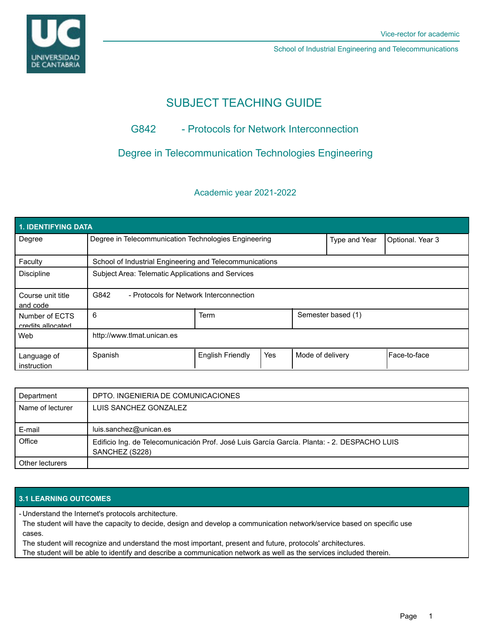

School of Industrial Engineering and Telecommunications

# SUBJECT TEACHING GUIDE

# G842 - Protocols for Network Interconnection

## Degree in Telecommunication Technologies Engineering

### Academic year 2021-2022

| <b>1. IDENTIFYING DATA</b>          |                                                         |                         |     |                    |                  |              |  |  |  |
|-------------------------------------|---------------------------------------------------------|-------------------------|-----|--------------------|------------------|--------------|--|--|--|
| Degree                              | Degree in Telecommunication Technologies Engineering    |                         |     | Type and Year      | Optional. Year 3 |              |  |  |  |
| Faculty                             | School of Industrial Engineering and Telecommunications |                         |     |                    |                  |              |  |  |  |
| <b>Discipline</b>                   | Subject Area: Telematic Applications and Services       |                         |     |                    |                  |              |  |  |  |
| Course unit title<br>and code       | G842<br>- Protocols for Network Interconnection         |                         |     |                    |                  |              |  |  |  |
| Number of ECTS<br>credits allocated | 6                                                       | <b>Term</b>             |     | Semester based (1) |                  |              |  |  |  |
| Web                                 | http://www.tlmat.unican.es                              |                         |     |                    |                  |              |  |  |  |
| Language of<br>instruction          | Spanish                                                 | <b>English Friendly</b> | Yes | Mode of delivery   |                  | Face-to-face |  |  |  |

| Department       | DPTO. INGENIERIA DE COMUNICACIONES                                                                            |
|------------------|---------------------------------------------------------------------------------------------------------------|
| Name of lecturer | LUIS SANCHEZ GONZALEZ                                                                                         |
| E-mail           | luis.sanchez@unican.es                                                                                        |
| Office           | Edificio Ing. de Telecomunicación Prof. José Luis García García. Planta: - 2. DESPACHO LUIS<br>SANCHEZ (S228) |
| Other lecturers  |                                                                                                               |

### **3.1 LEARNING OUTCOMES**

Understand the Internet's protocols architecture. -

The student will have the capacity to decide, design and develop a communication network/service based on specific use cases.

The student will recognize and understand the most important, present and future, protocols' architectures.

The student will be able to identify and describe a communication network as well as the services included therein.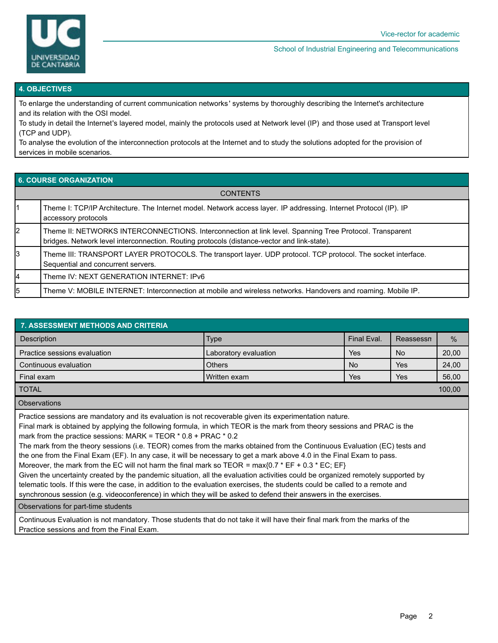

#### School of Industrial Engineering and Telecommunications

#### **4. OBJECTIVES**

To enlarge the understanding of current communication networks ' systems by thoroughly describing the Internet's architecture and its relation with the OSI model.

To study in detail the Internet's layered model, mainly the protocols used at Network level (IP) and those used at Transport level (TCP and UDP).

To analyse the evolution of the interconnection protocols at the Internet and to study the solutions adopted for the provision of services in mobile scenarios.

#### **6. COURSE ORGANIZATION**

| <b>CONTENTS</b> |                                                                                                                                                                                                        |  |  |  |
|-----------------|--------------------------------------------------------------------------------------------------------------------------------------------------------------------------------------------------------|--|--|--|
|                 | Theme I: TCP/IP Architecture. The Internet model. Network access layer. IP addressing. Internet Protocol (IP). IP<br>accessory protocols                                                               |  |  |  |
| 2               | Theme II: NETWORKS INTERCONNECTIONS. Interconnection at link level. Spanning Tree Protocol. Transparent<br>bridges. Network level interconnection. Routing protocols (distance-vector and link-state). |  |  |  |
| 3               | Theme III: TRANSPORT LAYER PROTOCOLS. The transport layer. UDP protocol. TCP protocol. The socket interface.<br>Sequential and concurrent servers.                                                     |  |  |  |
| 14              | Theme IV: NEXT GENERATION INTERNET: IPv6                                                                                                                                                               |  |  |  |
| 5               | Theme V: MOBILE INTERNET: Interconnection at mobile and wireless networks. Handovers and roaming. Mobile IP.                                                                                           |  |  |  |

| <b>7. ASSESSMENT METHODS AND CRITERIA</b> |                       |             |                  |               |  |  |  |  |  |
|-------------------------------------------|-----------------------|-------------|------------------|---------------|--|--|--|--|--|
| <b>Description</b>                        | <b>Type</b>           | Final Eval. | <b>Reassessn</b> | $\frac{0}{0}$ |  |  |  |  |  |
| Practice sessions evaluation              | Laboratory evaluation | Yes         | <b>No</b>        | 20,00         |  |  |  |  |  |
| Continuous evaluation                     | <b>Others</b>         | <b>No</b>   | Yes              | 24,00         |  |  |  |  |  |
| Final exam                                | Written exam          | Yes         | Yes              | 56,00         |  |  |  |  |  |
| <b>TOTAL</b>                              |                       |             |                  | 100,00        |  |  |  |  |  |
| Ohoon votiono                             |                       |             |                  |               |  |  |  |  |  |

Observations

Practice sessions are mandatory and its evaluation is not recoverable given its experimentation nature.

Final mark is obtained by applying the following formula, in which TEOR is the mark from theory sessions and PRAC is the mark from the practice sessions: MARK = TEOR \* 0.8 + PRAC \* 0.2

The mark from the theory sessions (i.e. TEOR) comes from the marks obtained from the Continuous Evaluation (EC) tests and the one from the Final Exam (EF). In any case, it will be necessary to get a mark above 4.0 in the Final Exam to pass.

Moreover, the mark from the EC will not harm the final mark so TEOR =  $max{0.7 * EF + 0.3 * EC}$ ; EF}

Given the uncertainty created by the pandemic situation, all the evaluation activities could be organized remotely supported by telematic tools. If this were the case, in addition to the evaluation exercises, the students could be called to a remote and synchronous session (e.g. videoconference) in which they will be asked to defend their answers in the exercises.

Observations for part-time students

Continuous Evaluation is not mandatory. Those students that do not take it will have their final mark from the marks of the Practice sessions and from the Final Exam.